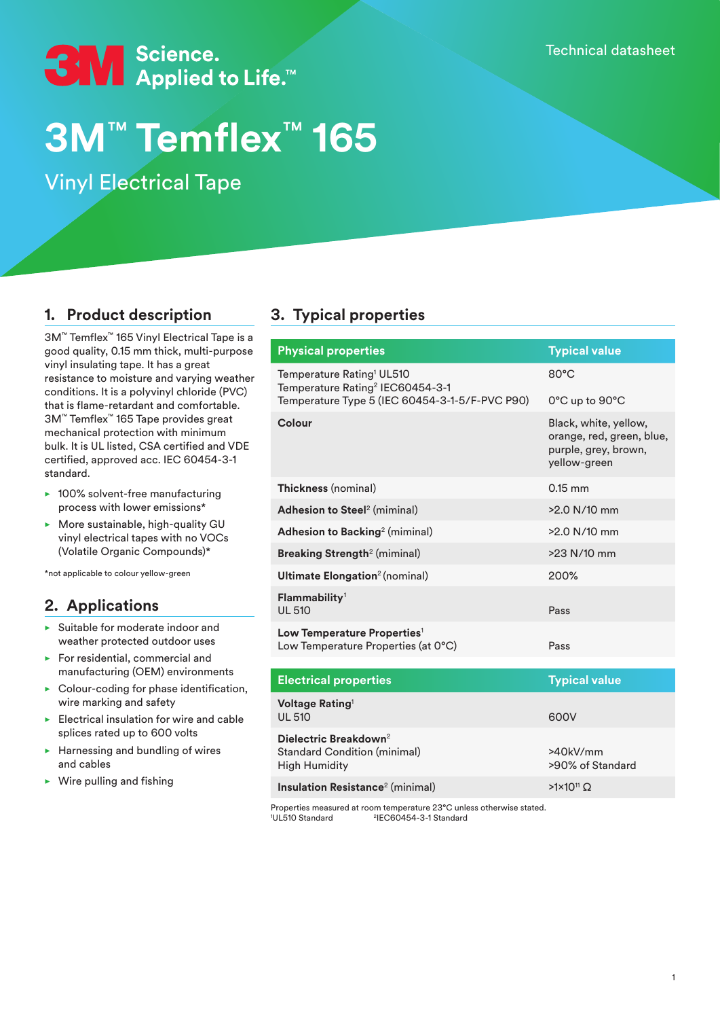Technical datasheet



# **3M**™ **Temflex**™ **165**

Vinyl Electrical Tape

## **1. Product description**

3M™ Temflex™ 165 Vinyl Electrical Tape is a good quality, 0.15 mm thick, multi-purpose vinyl insulating tape. It has a great resistance to moisture and varying weather conditions. It is a polyvinyl chloride (PVC) that is flame-retardant and comfortable. 3M™ Temflex™ 165 Tape provides great mechanical protection with minimum bulk. It is UL listed, CSA certified and VDE certified, approved acc. IEC 60454-3-1 standard.

- $\blacktriangleright$  100% solvent-free manufacturing process with lower emissions\*
- $\blacktriangleright$  More sustainable, high-quality GU vinyl electrical tapes with no VOCs (Volatile Organic Compounds)\*

\*not applicable to colour yellow-green

## **2. Applications**

- $\blacktriangleright$  Suitable for moderate indoor and weather protected outdoor uses
- $\blacktriangleright$  For residential, commercial and manufacturing (OEM) environments
- $\triangleright$  Colour-coding for phase identification, wire marking and safety
- Electrical insulation for wire and cable splices rated up to 600 volts
- $\blacktriangleright$  Harnessing and bundling of wires and cables
- $\triangleright$  Wire pulling and fishing

# **3. Typical properties**

Properties measured at room temperature 23°C unless otherwise stated. 'UL510 Standard <sup>2</sup>IEC60454-3-1 Standard